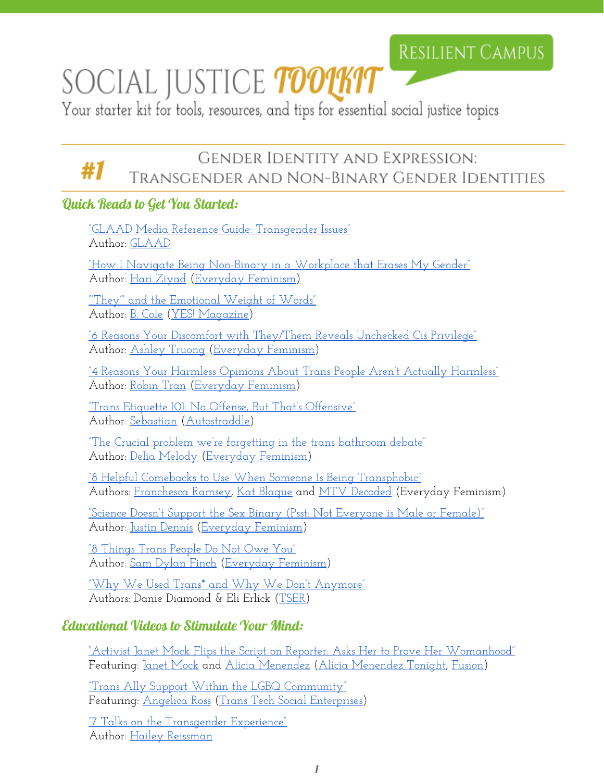## **RESILIENT CAMPUS**

# SOCIAL JUSTICE **TOOTKIT**

Your starter kit for tools, resources, and tips for essential social justice topics

## **GENDER IDENTITY AND EXPRESSION:** Transgender and Non-Binary Gender Identities

#### Quick Reads to Get You Started:

"GLAAD Media Reference Guide: [Transgender](http://www.glaad.org/reference/transgender) Issues" Author: [GLAAD](http://www.glaad.org/)

"How I Navigate Being [Non-Binary](http://everydayfeminism.com/2016/07/non-binary-at-work/) in a Workplace that Erases My Gender" Author: Hari [Ziyad](http://everydayfeminism.com/author/hariz/) [\(Everyday](http://everydayfeminism.com/) Feminism)

<u>"They'" and the [Emotional](http://www.yesmagazine.org/issues/gender-justice/they-and-the-emotional-weight-of-words-20160510) Weight of Words"</u> Author: <u>B. [Cole](http://everydayfeminism.com/speakers-bureau/cole/)</u> (YES! [Magazine\)](http://www.yesmagazine.org/)

"6 Reasons Your Discomfort with [They/Them](http://everydayfeminism.com/2015/12/they-pronouns-cis-privilege/) Reveals Unchecked Cis Privilege" Author: Ashley [Truong](http://everydayfeminism.com/author/ashleyt/) [\(Everyday](http://everydayfeminism.com/) Feminism)

"4 Reasons Your Harmless Opinions About Trans People Aren't Actually [Harmless"](http://everydayfeminism.com/2016/06/opinions-on-trans-ppl-not-harmless/) Author: [Robin](http://everydayfeminism.com/author/robint/) Tran [\(Everyday](http://everydayfeminism.com/) Feminism)

"Trans Etiquette 101: No Offense, But That's [Offensive"](http://www.autostraddle.com/how-to-talk-to-a-transperson-76785/) Author: [Sebastian](http://www.autostraddle.com/author/sebastian/) [\(Autostraddle\)](http://www.autostraddle.com/)

"The Crucial problem we're [forgetting](http://everydayfeminism.com/2016/05/trans-bathroom-debate-problem/) in the trans bathroom debate" Author: Delia [Melody](http://everydayfeminism.com/author/deliam/) ([Everyday](http://everydayfeminism.com/) Feminism)

["8](http://everydayfeminism.com/2016/05/comebacks-to-transphobia/) Helpful Comebacks to Use When Someone Is Being [Transphobic"](http://everydayfeminism.com/2016/05/comebacks-to-transphobia/) Authors: [Franchesca](http://everydayfeminism.com/author/franchescal/) Ramsey, Kat [Blaque](http://everydayfeminism.com/author/katb/) and MTV [Decoded](http://everydayfeminism.com/author/mtvdecoded/) (Everyday Feminism)

"Science Doesn't Support the Sex Binary (Psst: Not [Everyone](http://everydayfeminism.com/2016/06/science-doesnt-support-sex-binary/) is Male or Female)" Author: Justin [Dennis](http://everydayfeminism.com/author/justind/) [\(Everyday](http://everydayfeminism.com/) Feminism)

"8 [Things](http://everydayfeminism.com/2016/02/trans-people-dont-owe-you/) Trans People Do Not Owe You" Author: Sam [Dylan](http://everydayfeminism.com/author/samdf/) Finch [\(Everyday](http://everydayfeminism.com/) Feminism)

"Why We Used Trans\* and Why We Don't [Anymore"](http://www.transstudent.org/asterisk) Authors: Danie Diamond & Eli Erlick ([TSER\)](http://www.transstudent.org/)

#### Educational Videos to Stimulate Your Mind:

["A](https://www.youtube.com/watch?v=ISsdSvJhniQ)ctivist Janet Mock Flips the Script on Reporter: Asks Her to Prove Her [Womanhood"](https://www.youtube.com/watch?v=ISsdSvJhniQ) Featuring: Janet [Mock](http://janetmock.com/) and Alicia [Menendez](https://fusion.net/author/alicia-menendez/) (Alicia [Menendez](https://fusion.net/show/alicia-menendez-tonight/) Tonight, [Fusion\)](https://fusion.net/)

"Trans Ally Support Within the LGBQ [Community"](https://vimeo.com/160766249) Featuring: [Angelica](http://missross.com/) Ross (Trans Tech Social [Enterprises\)](http://www.transtechsocial.org/)

<u>"7 Talks on the [Transgender](http://blog.ted.com/7-talks-on-the-transgender-experience/) Experience"</u> Author: Hailey [Reissman](http://blog.ted.com/author/haileyreissman/)